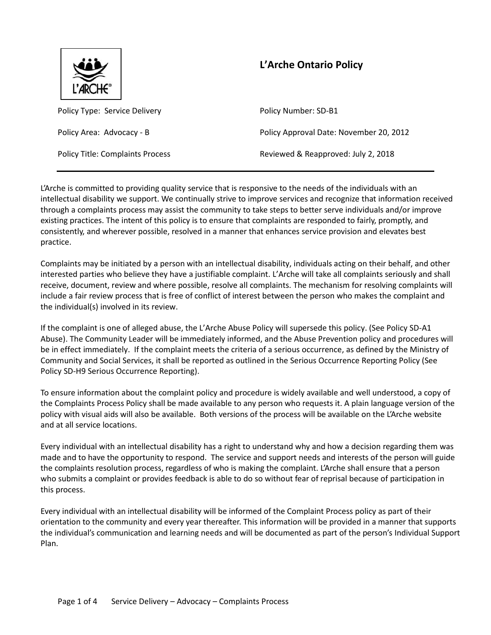

# **L'Arche Ontario Policy**

Policy Type: Service Delivery **Policy Auments** Policy Number: SD-B1

Policy Area: Advocacy - B Policy Approval Date: November 20, 2012

Policy Title: Complaints Process **Reviewed & Reapproved: July 2, 2018** 

L'Arche is committed to providing quality service that is responsive to the needs of the individuals with an intellectual disability we support. We continually strive to improve services and recognize that information received through a complaints process may assist the community to take steps to better serve individuals and/or improve existing practices. The intent of this policy is to ensure that complaints are responded to fairly, promptly, and consistently, and wherever possible, resolved in a manner that enhances service provision and elevates best practice.

Complaints may be initiated by a person with an intellectual disability, individuals acting on their behalf, and other interested parties who believe they have a justifiable complaint. L'Arche will take all complaints seriously and shall receive, document, review and where possible, resolve all complaints. The mechanism for resolving complaints will include a fair review process that is free of conflict of interest between the person who makes the complaint and the individual(s) involved in its review.

If the complaint is one of alleged abuse, the L'Arche Abuse Policy will supersede this policy. (See Policy SD-A1 Abuse). The Community Leader will be immediately informed, and the Abuse Prevention policy and procedures will be in effect immediately. If the complaint meets the criteria of a serious occurrence, as defined by the Ministry of Community and Social Services, it shall be reported as outlined in the Serious Occurrence Reporting Policy (See Policy SD-H9 Serious Occurrence Reporting).

To ensure information about the complaint policy and procedure is widely available and well understood, a copy of the Complaints Process Policy shall be made available to any person who requests it. A plain language version of the policy with visual aids will also be available. Both versions of the process will be available on the L'Arche website and at all service locations.

Every individual with an intellectual disability has a right to understand why and how a decision regarding them was made and to have the opportunity to respond. The service and support needs and interests of the person will guide the complaints resolution process, regardless of who is making the complaint. L'Arche shall ensure that a person who submits a complaint or provides feedback is able to do so without fear of reprisal because of participation in this process.

Every individual with an intellectual disability will be informed of the Complaint Process policy as part of their orientation to the community and every year thereafter. This information will be provided in a manner that supports the individual's communication and learning needs and will be documented as part of the person's Individual Support Plan.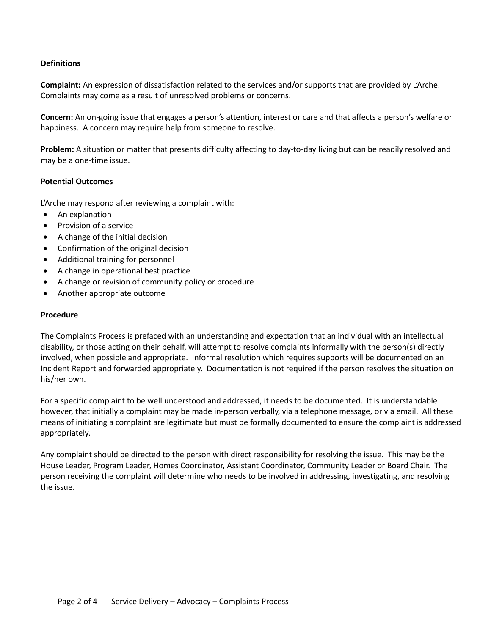## **Definitions**

**Complaint:** An expression of dissatisfaction related to the services and/or supports that are provided by L'Arche. Complaints may come as a result of unresolved problems or concerns.

**Concern:** An on-going issue that engages a person's attention, interest or care and that affects a person's welfare or happiness. A concern may require help from someone to resolve.

**Problem:** A situation or matter that presents difficulty affecting to day-to-day living but can be readily resolved and may be a one-time issue.

## **Potential Outcomes**

L'Arche may respond after reviewing a complaint with:

- An explanation
- Provision of a service
- A change of the initial decision
- Confirmation of the original decision
- Additional training for personnel
- A change in operational best practice
- A change or revision of community policy or procedure
- Another appropriate outcome

#### **Procedure**

The Complaints Process is prefaced with an understanding and expectation that an individual with an intellectual disability, or those acting on their behalf, will attempt to resolve complaints informally with the person(s) directly involved, when possible and appropriate. Informal resolution which requires supports will be documented on an Incident Report and forwarded appropriately. Documentation is not required if the person resolves the situation on his/her own.

For a specific complaint to be well understood and addressed, it needs to be documented. It is understandable however, that initially a complaint may be made in-person verbally, via a telephone message, or via email. All these means of initiating a complaint are legitimate but must be formally documented to ensure the complaint is addressed appropriately.

Any complaint should be directed to the person with direct responsibility for resolving the issue. This may be the House Leader, Program Leader, Homes Coordinator, Assistant Coordinator, Community Leader or Board Chair. The person receiving the complaint will determine who needs to be involved in addressing, investigating, and resolving the issue.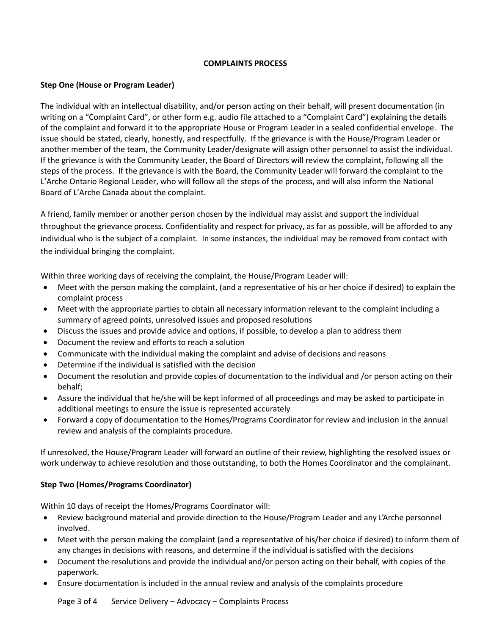## **COMPLAINTS PROCESS**

#### **Step One (House or Program Leader)**

The individual with an intellectual disability, and/or person acting on their behalf, will present documentation (in writing on a "Complaint Card", or other form e.g. audio file attached to a "Complaint Card") explaining the details of the complaint and forward it to the appropriate House or Program Leader in a sealed confidential envelope. The issue should be stated, clearly, honestly, and respectfully. If the grievance is with the House/Program Leader or another member of the team, the Community Leader/designate will assign other personnel to assist the individual. If the grievance is with the Community Leader, the Board of Directors will review the complaint, following all the steps of the process. If the grievance is with the Board, the Community Leader will forward the complaint to the L'Arche Ontario Regional Leader, who will follow all the steps of the process, and will also inform the National Board of L'Arche Canada about the complaint.

A friend, family member or another person chosen by the individual may assist and support the individual throughout the grievance process. Confidentiality and respect for privacy, as far as possible, will be afforded to any individual who is the subject of a complaint. In some instances, the individual may be removed from contact with the individual bringing the complaint.

Within three working days of receiving the complaint, the House/Program Leader will:

- Meet with the person making the complaint, (and a representative of his or her choice if desired) to explain the complaint process
- Meet with the appropriate parties to obtain all necessary information relevant to the complaint including a summary of agreed points, unresolved issues and proposed resolutions
- Discuss the issues and provide advice and options, if possible, to develop a plan to address them
- Document the review and efforts to reach a solution
- Communicate with the individual making the complaint and advise of decisions and reasons
- Determine if the individual is satisfied with the decision
- Document the resolution and provide copies of documentation to the individual and /or person acting on their behalf;
- Assure the individual that he/she will be kept informed of all proceedings and may be asked to participate in additional meetings to ensure the issue is represented accurately
- Forward a copy of documentation to the Homes/Programs Coordinator for review and inclusion in the annual review and analysis of the complaints procedure.

If unresolved, the House/Program Leader will forward an outline of their review, highlighting the resolved issues or work underway to achieve resolution and those outstanding, to both the Homes Coordinator and the complainant.

## **Step Two (Homes/Programs Coordinator)**

Within 10 days of receipt the Homes/Programs Coordinator will:

- Review background material and provide direction to the House/Program Leader and any L'Arche personnel involved.
- Meet with the person making the complaint (and a representative of his/her choice if desired) to inform them of any changes in decisions with reasons, and determine if the individual is satisfied with the decisions
- Document the resolutions and provide the individual and/or person acting on their behalf, with copies of the paperwork.
- Ensure documentation is included in the annual review and analysis of the complaints procedure